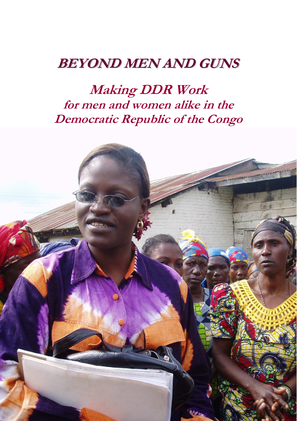# **BEYOND MEN AND GUNS**

**Making DDR Work for men and women alike in the Democratic Republic of the Congo** 

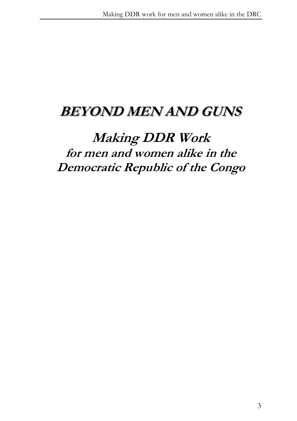# **BEYOND MEN AND GUNS**

# **Making DDR Work for men and women alike in the Democratic Republic of the Congo**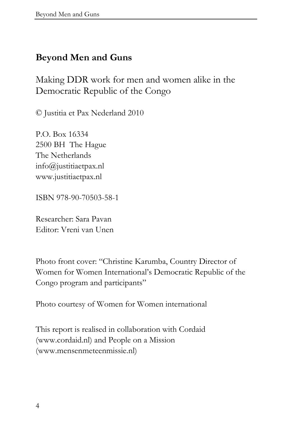#### **Beyond Men and Guns**

Making DDR work for men and women alike in the Democratic Republic of the Congo

© Justitia et Pax Nederland 2010

P.O. Box 16334 2500 BH The Hague The Netherlands info@justitiaetpax.nl www.justitiaetpax.nl

ISBN 978-90-70503-58-1

Researcher: Sara Pavan Editor: Vreni van Unen

Photo front cover: "Christine Karumba, Country Director of Women for Women International's Democratic Republic of the Congo program and participants"

Photo courtesy of Women for Women international

This report is realised in collaboration with Cordaid (www.cordaid.nl) and People on a Mission (www.mensenmeteenmissie.nl)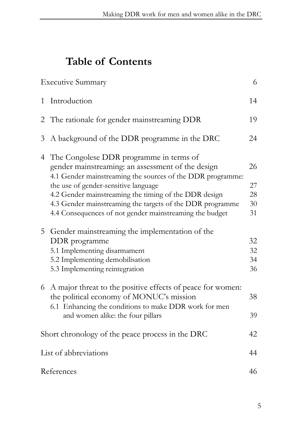# **Table of Contents**

|                                                  | <b>Executive Summary</b>                                                                                                                                                                                                                                                                                                                                                              | 6                          |
|--------------------------------------------------|---------------------------------------------------------------------------------------------------------------------------------------------------------------------------------------------------------------------------------------------------------------------------------------------------------------------------------------------------------------------------------------|----------------------------|
| $\mathbf{1}$                                     | Introduction                                                                                                                                                                                                                                                                                                                                                                          | 14                         |
|                                                  | 2 The rationale for gender mainstreaming DDR                                                                                                                                                                                                                                                                                                                                          | 19                         |
| 3                                                | A background of the DDR programme in the DRC                                                                                                                                                                                                                                                                                                                                          | 24                         |
|                                                  | 4 The Congolese DDR programme in terms of<br>gender mainstreaming: an assessment of the design<br>4.1 Gender mainstreaming the sources of the DDR programme:<br>the use of gender-sensitive language<br>4.2 Gender mainstreaming the timing of the DDR design<br>4.3 Gender mainstreaming the targets of the DDR programme<br>4.4 Consequences of not gender mainstreaming the budget | 26<br>27<br>28<br>30<br>31 |
| 5                                                | Gender mainstreaming the implementation of the<br>DDR programme<br>5.1 Implementing disarmament<br>5.2 Implementing demobilisation<br>5.3 Implementing reintegration                                                                                                                                                                                                                  | 32<br>32<br>34<br>36       |
|                                                  | 6 A major threat to the positive effects of peace for women:<br>the political economy of MONUC's mission<br>6.1 Enhancing the conditions to make DDR work for men<br>and women alike: the four pillars                                                                                                                                                                                | 38<br>39                   |
| Short chronology of the peace process in the DRC |                                                                                                                                                                                                                                                                                                                                                                                       |                            |
| List of abbreviations                            |                                                                                                                                                                                                                                                                                                                                                                                       |                            |
| 46<br>References                                 |                                                                                                                                                                                                                                                                                                                                                                                       |                            |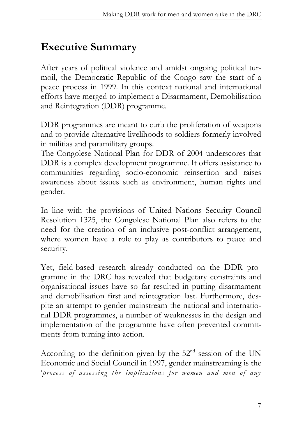### **Executive Summary**

After years of political violence and amidst ongoing political turmoil, the Democratic Republic of the Congo saw the start of a peace process in 1999. In this context national and international efforts have merged to implement a Disarmament, Demobilisation and Reintegration (DDR) programme.

DDR programmes are meant to curb the proliferation of weapons and to provide alternative livelihoods to soldiers formerly involved in militias and paramilitary groups.

The Congolese National Plan for DDR of 2004 underscores that DDR is a complex development programme. It offers assistance to communities regarding socio-economic reinsertion and raises awareness about issues such as environment, human rights and gender.

In line with the provisions of United Nations Security Council Resolution 1325, the Congolese National Plan also refers to the need for the creation of an inclusive post-conflict arrangement, where women have a role to play as contributors to peace and security.

Yet, field-based research already conducted on the DDR programme in the DRC has revealed that budgetary constraints and organisational issues have so far resulted in putting disarmament and demobilisation first and reintegration last. Furthermore, despite an attempt to gender mainstream the national and international DDR programmes, a number of weaknesses in the design and implementation of the programme have often prevented commitments from turning into action.

According to the definition given by the  $52<sup>nd</sup>$  session of the UN Economic and Social Council in 1997, gender mainstreaming is the '*process of assessing the implications for women and men of any*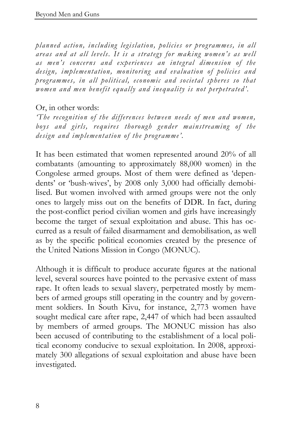*planned action, including legislation, policies or programmes, in all areas and at all levels. It is a strategy for making women's as well as men's concerns and experiences an integral dimension of the design, implementation, monitoring and evaluation of policies and programmes, in all political, economic and societal spheres so that women and men benefit equally and inequality is not perpetrated'.* 

#### Or, in other words:

*'The recognition of the differences between needs of men and women, boys and girls, requires thorough gender mainstreaming of the design and implementation of the programme'.* 

It has been estimated that women represented around 20% of all combatants (amounting to approximately 88,000 women) in the Congolese armed groups. Most of them were defined as 'dependents' or 'bush-wives', by 2008 only 3,000 had officially demobilised. But women involved with armed groups were not the only ones to largely miss out on the benefits of DDR. In fact, during the post-conflict period civilian women and girls have increasingly become the target of sexual exploitation and abuse. This has occurred as a result of failed disarmament and demobilisation, as well as by the specific political economies created by the presence of the United Nations Mission in Congo (MONUC).

Although it is difficult to produce accurate figures at the national level, several sources have pointed to the pervasive extent of mass rape. It often leads to sexual slavery, perpetrated mostly by members of armed groups still operating in the country and by government soldiers. In South Kivu, for instance, 2,773 women have sought medical care after rape, 2,447 of which had been assaulted by members of armed groups. The MONUC mission has also been accused of contributing to the establishment of a local political economy conducive to sexual exploitation. In 2008, approximately 300 allegations of sexual exploitation and abuse have been investigated.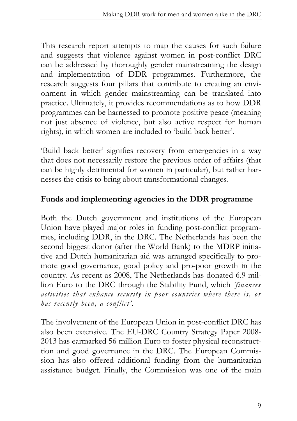This research report attempts to map the causes for such failure and suggests that violence against women in post-conflict DRC can be addressed by thoroughly gender mainstreaming the design and implementation of DDR programmes. Furthermore, the research suggests four pillars that contribute to creating an envionment in which gender mainstreaming can be translated into practice. Ultimately, it provides recommendations as to how DDR programmes can be harnessed to promote positive peace (meaning not just absence of violence, but also active respect for human rights), in which women are included to 'build back better'.

'Build back better' signifies recovery from emergencies in a way that does not necessarily restore the previous order of affairs (that can be highly detrimental for women in particular), but rather harnesses the crisis to bring about transformational changes.

#### **Funds and implementing agencies in the DDR programme**

Both the Dutch government and institutions of the European Union have played major roles in funding post-conflict programmes, including DDR, in the DRC. The Netherlands has been the second biggest donor (after the World Bank) to the MDRP initiative and Dutch humanitarian aid was arranged specifically to promote good governance, good policy and pro-poor growth in the country. As recent as 2008, The Netherlands has donated 6.9 million Euro to the DRC through the Stability Fund, which *'finances activities that enhance security in poor countries where there is, or has recently been, a conflict'.* 

The involvement of the European Union in post-conflict DRC has also been extensive. The EU-DRC Country Strategy Paper 2008- 2013 has earmarked 56 million Euro to foster physical reconstructtion and good governance in the DRC. The European Commission has also offered additional funding from the humanitarian assistance budget. Finally, the Commission was one of the main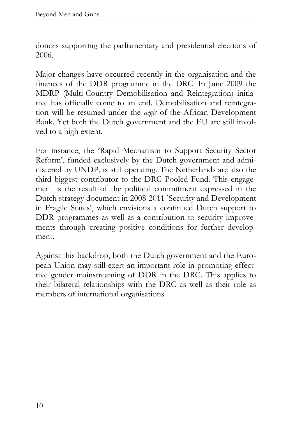donors supporting the parliamentary and presidential elections of 2006.

Major changes have occurred recently in the organisation and the finances of the DDR programme in the DRC. In June 2009 the MDRP (Multi-Country Demobilisation and Reintegration) initiative has officially come to an end. Demobilisation and reintegration will be resumed under the *aegis* of the African Development Bank. Yet both the Dutch government and the EU are still involved to a high extent.

For instance, the 'Rapid Mechanism to Support Security Sector Reform', funded exclusively by the Dutch government and administered by UNDP, is still operating. The Netherlands are also the third biggest contributor to the DRC Pooled Fund. This engagement is the result of the political commitment expressed in the Dutch strategy document in 2008-2011 'Security and Development in Fragile States', which envisions a continued Dutch support to DDR programmes as well as a contribution to security improvements through creating positive conditions for further development.

Against this backdrop, both the Dutch government and the European Union may still exert an important role in promoting effecttive gender mainstreaming of DDR in the DRC. This applies to their bilateral relationships with the DRC as well as their role as members of international organisations.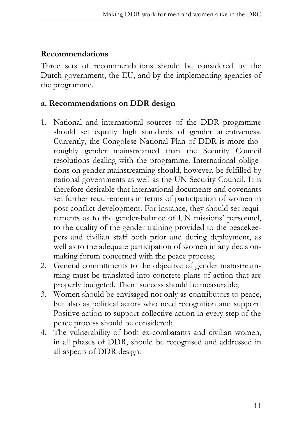#### **Recommendations**

Three sets of recommendations should be considered by the Dutch government, the EU, and by the implementing agencies of the programme.

#### **a. Recommendations on DDR design**

- 1. National and international sources of the DDR programme should set equally high standards of gender attentiveness. Currently, the Congolese National Plan of DDR is more thoroughly gender mainstreamed than the Security Council resolutions dealing with the programme. International obligetions on gender mainstreaming should, however, be fulfilled by national governments as well as the UN Security Council. It is therefore desirable that international documents and covenants set further requirements in terms of participation of women in post-conflict development. For instance, they should set requirements as to the gender-balance of UN missions' personnel, to the quality of the gender training provided to the peacekeepers and civilian staff both prior and during deployment, as well as to the adequate participation of women in any decisionmaking forum concerned with the peace process;
- 2. General commitments to the objective of gender mainstreamming must be translated into concrete plans of action that are properly budgeted. Their success should be measurable;
- 3. Women should be envisaged not only as contributors to peace, but also as political actors who need recognition and support. Positive action to support collective action in every step of the peace process should be considered;
- 4. The vulnerability of both ex-combatants and civilian women, in all phases of DDR, should be recognised and addressed in all aspects of DDR design.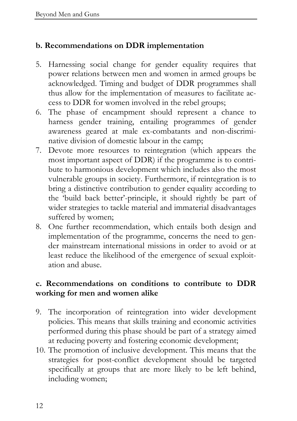#### **b. Recommendations on DDR implementation**

- 5. Harnessing social change for gender equality requires that power relations between men and women in armed groups be acknowledged. Timing and budget of DDR programmes shall thus allow for the implementation of measures to facilitate access to DDR for women involved in the rebel groups;
- 6. The phase of encampment should represent a chance to harness gender training, entailing programmes of gender awareness geared at male ex-combatants and non-discriminative division of domestic labour in the camp;
- 7. Devote more resources to reintegration (which appears the most important aspect of DDR) if the programme is to contribute to harmonious development which includes also the most vulnerable groups in society. Furthermore, if reintegration is to bring a distinctive contribution to gender equality according to the 'build back better'-principle, it should rightly be part of wider strategies to tackle material and immaterial disadvantages suffered by women;
- 8. One further recommendation, which entails both design and implementation of the programme, concerns the need to gender mainstream international missions in order to avoid or at least reduce the likelihood of the emergence of sexual exploitation and abuse.

#### **c. Recommendations on conditions to contribute to DDR working for men and women alike**

- 9. The incorporation of reintegration into wider development policies. This means that skills training and economic activities performed during this phase should be part of a strategy aimed at reducing poverty and fostering economic development;
- 10. The promotion of inclusive development. This means that the strategies for post-conflict development should be targeted specifically at groups that are more likely to be left behind, including women;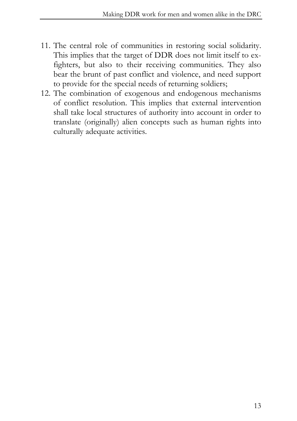- 11. The central role of communities in restoring social solidarity. This implies that the target of DDR does not limit itself to exfighters, but also to their receiving communities. They also bear the brunt of past conflict and violence, and need support to provide for the special needs of returning soldiers;
- 12. The combination of exogenous and endogenous mechanisms of conflict resolution. This implies that external intervention shall take local structures of authority into account in order to translate (originally) alien concepts such as human rights into culturally adequate activities.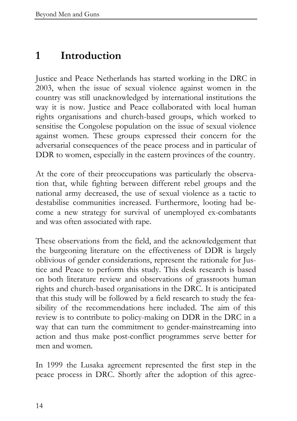### **1 Introduction**

Justice and Peace Netherlands has started working in the DRC in 2003, when the issue of sexual violence against women in the country was still unacknowledged by international institutions the way it is now. Justice and Peace collaborated with local human rights organisations and church-based groups, which worked to sensitise the Congolese population on the issue of sexual violence against women. These groups expressed their concern for the adversarial consequences of the peace process and in particular of DDR to women, especially in the eastern provinces of the country.

At the core of their preoccupations was particularly the observation that, while fighting between different rebel groups and the national army decreased, the use of sexual violence as a tactic to destabilise communities increased. Furthermore, looting had become a new strategy for survival of unemployed ex-combatants and was often associated with rape.

These observations from the field, and the acknowledgement that the burgeoning literature on the effectiveness of DDR is largely oblivious of gender considerations, represent the rationale for Justice and Peace to perform this study. This desk research is based on both literature review and observations of grassroots human rights and church-based organisations in the DRC. It is anticipated that this study will be followed by a field research to study the feasibility of the recommendations here included. The aim of this review is to contribute to policy-making on DDR in the DRC in a way that can turn the commitment to gender-mainstreaming into action and thus make post-conflict programmes serve better for men and women.

In 1999 the Lusaka agreement represented the first step in the peace process in DRC. Shortly after the adoption of this agree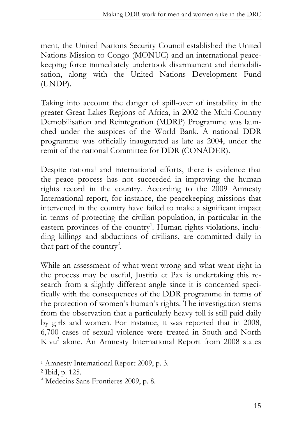ment, the United Nations Security Council established the United Nations Mission to Congo (MONUC) and an international peacekeeping force immediately undertook disarmament and demobilisation, along with the United Nations Development Fund (UNDP).

Taking into account the danger of spill-over of instability in the greater Great Lakes Regions of Africa, in 2002 the Multi-Country Demobilisation and Reintegration (MDRP) Programme was launched under the auspices of the World Bank. A national DDR programme was officially inaugurated as late as 2004, under the remit of the national Committee for DDR (CONADER).

Despite national and international efforts, there is evidence that the peace process has not succeeded in improving the human rights record in the country. According to the 2009 Amnesty International report, for instance, the peacekeeping missions that intervened in the country have failed to make a significant impact in terms of protecting the civilian population, in particular in the eastern provinces of the country<sup>1</sup>. Human rights violations, including killings and abductions of civilians, are committed daily in that part of the country<sup>2</sup>.

While an assessment of what went wrong and what went right in the process may be useful, Justitia et Pax is undertaking this research from a slightly different angle since it is concerned specifically with the consequences of the DDR programme in terms of the protection of women's human's rights. The investigation stems from the observation that a particularly heavy toll is still paid daily by girls and women. For instance, it was reported that in 2008, 6,700 cases of sexual violence were treated in South and North Kivu<sup>3</sup> alone. An Amnesty International Report from 2008 states

<sup>1</sup> Amnesty International Report 2009, p. 3.

<sup>2</sup> Ibid, p. 125.

<sup>3</sup> Medecins Sans Frontieres 2009, p. 8.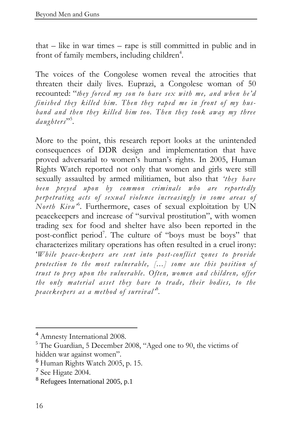that – like in war times – rape is still committed in public and in front of family members, including children<sup>4</sup>.

The voices of the Congolese women reveal the atrocities that threaten their daily lives. Euprazi, a Congolese woman of 50 recounted: "*they forced my son to have sex with me, and when he'd finished they killed him. Then they raped me in front of my husband and then they killed him too. Then they took away my three daughters*" 5 .

More to the point, this research report looks at the unintended consequences of DDR design and implementation that have proved adversarial to women's human's rights. In 2005, Human Rights Watch reported not only that women and girls were still sexually assaulted by armed militiamen, but also that *'they have been preyed upon by common criminals who are reportedly perpetrating acts of sexual violence increasingly in some areas of*  North Kivu<sup>,6</sup>. Furthermore, cases of sexual exploitation by UN peacekeepers and increase of "survival prostitution", with women trading sex for food and shelter have also been reported in the post-conflict period<sup>7</sup>. The culture of "boys must be boys" that characterizes military operations has often resulted in a cruel irony: '*While peace-keepers are sent into post-conflict zones to provide protection to the most vulnerable, [...] some use this position of trust to prey upon the vulnerable. Often, women and children, offer the only material asset they have to trade, their bodies, to the peacekeepers as a method of survival'* <sup>8</sup> *.* 

<sup>4</sup> Amnesty International 2008.

<sup>5</sup> The Guardian, 5 December 2008, "Aged one to 90, the victims of hidden war against women".

 $<sup>6</sup>$  Human Rights Watch 2005, p. 15.</sup>

<sup>7</sup> See Higate 2004.

<sup>8</sup> Refugees International 2005, p.1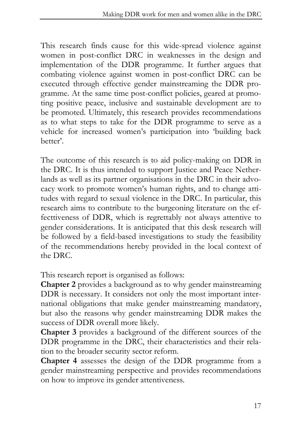This research finds cause for this wide-spread violence against women in post-conflict DRC in weaknesses in the design and implementation of the DDR programme. It further argues that combating violence against women in post-conflict DRC can be executed through effective gender mainstreaming the DDR programme. At the same time post-conflict policies, geared at promoting positive peace, inclusive and sustainable development are to be promoted. Ultimately, this research provides recommendations as to what steps to take for the DDR programme to serve as a vehicle for increased women's participation into 'building back better'.

The outcome of this research is to aid policy-making on DDR in the DRC. It is thus intended to support Justice and Peace Netherlands as well as its partner organisations in the DRC in their advocacy work to promote women's human rights, and to change attitudes with regard to sexual violence in the DRC. In particular, this research aims to contribute to the burgeoning literature on the effecttiveness of DDR, which is regrettably not always attentive to gender considerations. It is anticipated that this desk research will be followed by a field-based investigations to study the feasibility of the recommendations hereby provided in the local context of the DRC.

This research report is organised as follows:

**Chapter 2** provides a background as to why gender mainstreaming DDR is necessary. It considers not only the most important international obligations that make gender mainstreaming mandatory, but also the reasons why gender mainstreaming DDR makes the success of DDR overall more likely.

**Chapter 3** provides a background of the different sources of the DDR programme in the DRC, their characteristics and their relation to the broader security sector reform.

**Chapter 4** assesses the design of the DDR programme from a gender mainstreaming perspective and provides recommendations on how to improve its gender attentiveness.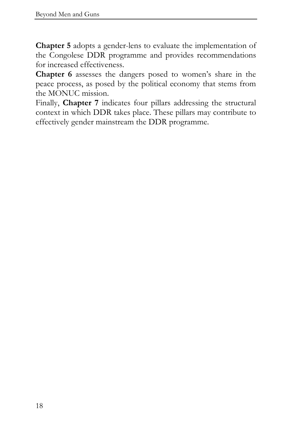**Chapter 5** adopts a gender-lens to evaluate the implementation of the Congolese DDR programme and provides recommendations for increased effectiveness.

**Chapter 6** assesses the dangers posed to women's share in the peace process, as posed by the political economy that stems from the MONUC mission.

Finally, **Chapter 7** indicates four pillars addressing the structural context in which DDR takes place. These pillars may contribute to effectively gender mainstream the DDR programme.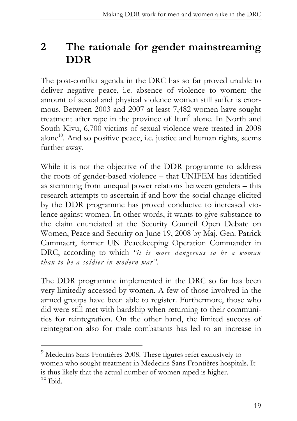### **2 The rationale for gender mainstreaming DDR**

The post-conflict agenda in the DRC has so far proved unable to deliver negative peace, i.e. absence of violence to women: the amount of sexual and physical violence women still suffer is enormous. Between 2003 and 2007 at least 7,482 women have sought treatment after rape in the province of Ituri<sup>9</sup> alone. In North and South Kivu, 6,700 victims of sexual violence were treated in 2008 alone<sup>10</sup>. And so positive peace, i.e. justice and human rights, seems further away.

While it is not the objective of the DDR programme to address the roots of gender-based violence – that UNIFEM has identified as stemming from unequal power relations between genders – this research attempts to ascertain if and how the social change elicited by the DDR programme has proved conducive to increased violence against women. In other words, it wants to give substance to the claim enunciated at the Security Council Open Debate on Women, Peace and Security on June 19, 2008 by Maj. Gen. Patrick Cammaert, former UN Peacekeeping Operation Commander in DRC, according to which *"it is more dangerous to be a woman than to be a soldier in modern war".* 

The DDR programme implemented in the DRC so far has been very limitedly accessed by women. A few of those involved in the armed groups have been able to register. Furthermore, those who did were still met with hardship when returning to their communities for reintegration. On the other hand, the limited success of reintegration also for male combatants has led to an increase in

<sup>9</sup> Medecins Sans Frontières 2008. These figures refer exclusively to women who sought treatment in Medecins Sans Frontières hospitals. It is thus likely that the actual number of women raped is higher.  $10$  Ibid.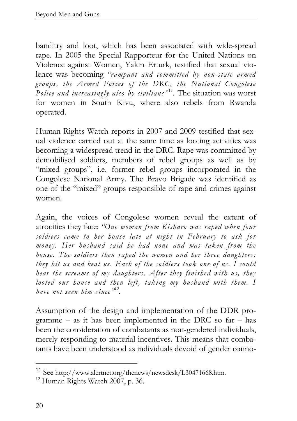banditry and loot, which has been associated with wide-spread rape. In 2005 the Special Rapporteur for the United Nations on Violence against Women, Yakin Erturk, testified that sexual violence was becoming *"rampant and committed by non-state armed groups, the Armed Forces of the DRC, the National Congolese*  Police and increasingly also by civilians<sup>"11</sup>. The situation was worst for women in South Kivu, where also rebels from Rwanda operated.

Human Rights Watch reports in 2007 and 2009 testified that sexual violence carried out at the same time as looting activities was becoming a widespread trend in the DRC. Rape was committed by demobilised soldiers, members of rebel groups as well as by "mixed groups", i.e. former rebel groups incorporated in the Congolese National Army. The Bravo Brigade was identified as one of the "mixed" groups responsible of rape and crimes against women.

Again, the voices of Congolese women reveal the extent of atrocities they face: *"One woman from Kisharo was raped when four soldiers came to her house late at night in February to ask for money. Her husband said he had none and was taken from the house. The soldiers then raped the women and her three daughters: they hit us and beat us. Each of the soldiers took one of us. I could hear the screams of my daughters. After they finished with us, they looted our house and then left, taking my husband with them. I have not seen him since" 12 .*

Assumption of the design and implementation of the DDR programme – as it has been implemented in the DRC so far – has been the consideration of combatants as non-gendered individuals, merely responding to material incentives. This means that combatants have been understood as individuals devoid of gender conno-

<sup>11</sup> See http://www.alertnet.org/thenews/newsdesk/L30471668.htm.

<sup>&</sup>lt;sup>12</sup> Human Rights Watch 2007, p. 36.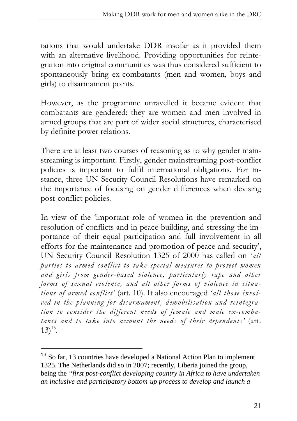tations that would undertake DDR insofar as it provided them with an alternative livelihood. Providing opportunities for reintegration into original communities was thus considered sufficient to spontaneously bring ex-combatants (men and women, boys and girls) to disarmament points.

However, as the programme unravelled it became evident that combatants are gendered: they are women and men involved in armed groups that are part of wider social structures, characterised by definite power relations.

There are at least two courses of reasoning as to why gender mainstreaming is important. Firstly, gender mainstreaming post-conflict policies is important to fulfil international obligations. For instance, three UN Security Council Resolutions have remarked on the importance of focusing on gender differences when devising post-conflict policies.

In view of the 'important role of women in the prevention and resolution of conflicts and in peace-building, and stressing the importance of their equal participation and full involvement in all efforts for the maintenance and promotion of peace and security', UN Security Council Resolution 1325 of 2000 has called on *'all parties to armed conflict to take special measures to protect women and girls from gender-based violence, particularly rape and other forms of sexual violence, and all other forms of violence in situations of armed conflict'* (art. 10). It also encouraged *'all those involved in the planning for disarmament, demobilisation and reintegration to consider the different needs of female and male ex-combatants and to take into account the needs of their dependents'* (art.  $13)^{13}$ .

<sup>&</sup>lt;sup>13</sup> So far, 13 countries have developed a National Action Plan to implement 1325. The Netherlands did so in 2007; recently, Liberia joined the group, being the *"first post-conflict developing country in Africa to have undertaken an inclusive and participatory bottom-up process to develop and launch a*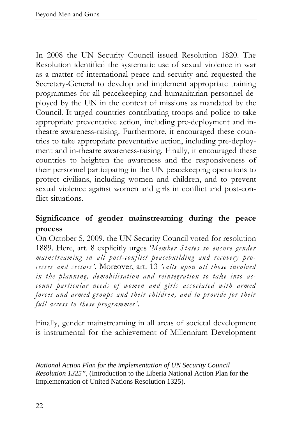In 2008 the UN Security Council issued Resolution 1820. The Resolution identified the systematic use of sexual violence in war as a matter of international peace and security and requested the Secretary-General to develop and implement appropriate training programmes for all peacekeeping and humanitarian personnel deployed by the UN in the context of missions as mandated by the Council. It urged countries contributing troops and police to take appropriate preventative action, including pre-deployment and intheatre awareness-raising. Furthermore, it encouraged these countries to take appropriate preventative action, including pre-deployment and in-theatre awareness-raising. Finally, it encouraged these countries to heighten the awareness and the responsiveness of their personnel participating in the UN peacekeeping operations to protect civilians, including women and children, and to prevent sexual violence against women and girls in conflict and post-conflict situations.

#### **Significance of gender mainstreaming during the peace process**

On October 5, 2009, the UN Security Council voted for resolution 1889. Here, art. 8 explicitly urges '*Member States to ensure gender mainstreaming in all post-conflict peacebuilding and recovery processes and sectors'*. Moreover, art. 13 *'calls upon all those involved in the planning, demobilisation and reintegration to take into account particular needs of women and girls associated with armed forces and armed groups and their children, and to provide for their full access to these programmes'*.

Finally, gender mainstreaming in all areas of societal development is instrumental for the achievement of Millennium Development

 $\overline{a}$ *National Action Plan for the implementation of UN Security Council Resolution 1325"*, (Introduction to the Liberia National Action Plan for the Implementation of United Nations Resolution 1325).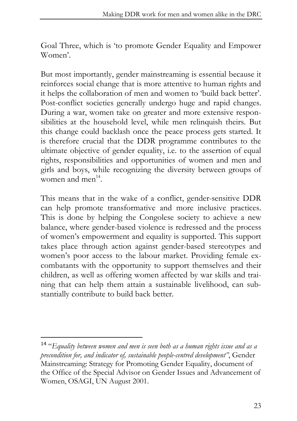Goal Three, which is 'to promote Gender Equality and Empower Women'.

But most importantly, gender mainstreaming is essential because it reinforces social change that is more attentive to human rights and it helps the collaboration of men and women to 'build back better'. Post-conflict societies generally undergo huge and rapid changes. During a war, women take on greater and more extensive responsibilities at the household level, while men relinquish theirs. But this change could backlash once the peace process gets started. It is therefore crucial that the DDR programme contributes to the ultimate objective of gender equality, i.e. to the assertion of equal rights, responsibilities and opportunities of women and men and girls and boys, while recognizing the diversity between groups of women and men $^{14}$ .

This means that in the wake of a conflict, gender-sensitive DDR can help promote transformative and more inclusive practices. This is done by helping the Congolese society to achieve a new balance, where gender-based violence is redressed and the process of women's empowerment and equality is supported. This support takes place through action against gender-based stereotypes and women's poor access to the labour market. Providing female excombatants with the opportunity to support themselves and their children, as well as offering women affected by war skills and training that can help them attain a sustainable livelihood, can substantially contribute to build back better.

<sup>14</sup> "*Equality between women and men is seen both as a human rights issue and as a precondition for, and indicator of, sustainable people-centred development"*, Gender Mainstreaming: Strategy for Promoting Gender Equality, document of the Office of the Special Advisor on Gender Issues and Advancement of Women, OSAGI, UN August 2001.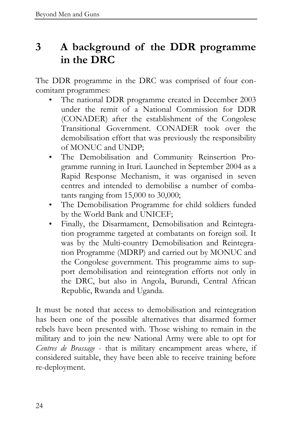### **3 A background of the DDR programme in the DRC**

The DDR programme in the DRC was comprised of four concomitant programmes:

- The national DDR programme created in December 2003 under the remit of a National Commission for DDR (CONADER) after the establishment of the Congolese Transitional Government. CONADER took over the demobilisation effort that was previously the responsibility of MONUC and UNDP;
- The Demobilisation and Community Reinsertion Programme running in Ituri. Launched in September 2004 as a Rapid Response Mechanism, it was organised in seven centres and intended to demobilise a number of combatants ranging from 15,000 to 30,000;
- The Demobilisation Programme for child soldiers funded by the World Bank and UNICEF;
- Finally, the Disarmament, Demobilisation and Reintegration programme targeted at combatants on foreign soil. It was by the Multi-country Demobilisation and Reintegration Programme (MDRP) and carried out by MONUC and the Congolese government. This programme aims to support demobilisation and reintegration efforts not only in the DRC, but also in Angola, Burundi, Central African Republic, Rwanda and Uganda.

It must be noted that access to demobilisation and reintegration has been one of the possible alternatives that disarmed former rebels have been presented with. Those wishing to remain in the military and to join the new National Army were able to opt for *Centres de Brassage* - that is military encampment areas where, if considered suitable, they have been able to receive training before re-deployment.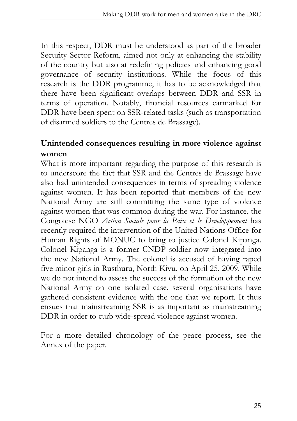In this respect, DDR must be understood as part of the broader Security Sector Reform, aimed not only at enhancing the stability of the country but also at redefining policies and enhancing good governance of security institutions. While the focus of this research is the DDR programme, it has to be acknowledged that there have been significant overlaps between DDR and SSR in terms of operation. Notably, financial resources earmarked for DDR have been spent on SSR-related tasks (such as transportation of disarmed soldiers to the Centres de Brassage).

#### **Unintended consequences resulting in more violence against women**

What is more important regarding the purpose of this research is to underscore the fact that SSR and the Centres de Brassage have also had unintended consequences in terms of spreading violence against women. It has been reported that members of the new National Army are still committing the same type of violence against women that was common during the war. For instance, the Congolese NGO *Action Sociale pour la Paix et le Developpement* has recently required the intervention of the United Nations Office for Human Rights of MONUC to bring to justice Colonel Kipanga. Colonel Kipanga is a former CNDP soldier now integrated into the new National Army. The colonel is accused of having raped five minor girls in Rusthuru, North Kivu, on April 25, 2009. While we do not intend to assess the success of the formation of the new National Army on one isolated case, several organisations have gathered consistent evidence with the one that we report. It thus ensues that mainstreaming SSR is as important as mainstreaming DDR in order to curb wide-spread violence against women.

For a more detailed chronology of the peace process, see the Annex of the paper.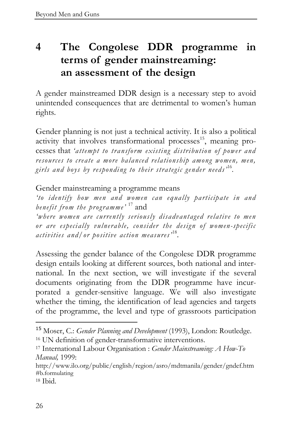# **4 The Congolese DDR programme in terms of gender mainstreaming: an assessment of the design**

A gender mainstreamed DDR design is a necessary step to avoid unintended consequences that are detrimental to women's human rights.

Gender planning is not just a technical activity. It is also a political activity that involves transformational processes $^{15}$ , meaning processes that *'attempt to transform existing distribution of power and resources to create a more balanced relationship among women, men, girls and boys by responding to their strategic gender needs'* <sup>16</sup> *.* 

Gender mainstreaming a programme means

*'to identify how men and women can equally participate in and benefit from the programme'* <sup>17</sup> and

*'where women are currently seriously disadvantaged relative to men or are especially vulnerable, consider the design of women-specific*  activities and/or positive action measures<sup>, 18</sup>.

Assessing the gender balance of the Congolese DDR programme design entails looking at different sources, both national and international. In the next section, we will investigate if the several documents originating from the DDR programme have incurporated a gender-sensitive language. We will also investigate whether the timing, the identification of lead agencies and targets of the programme, the level and type of grassroots participation

http://www.ilo.org/public/english/region/asro/mdtmanila/gender/gndef.htm #b.formulating

<sup>15</sup> Moser, C.: *Gender Planning and Development* (1993), London: Routledge. <sup>16</sup> UN definition of gender-transformative interventions.

<sup>17</sup> International Labour Organisation : *Gender Mainstreaming: A How-To Manual,* 1999:

<sup>18</sup> Ibid.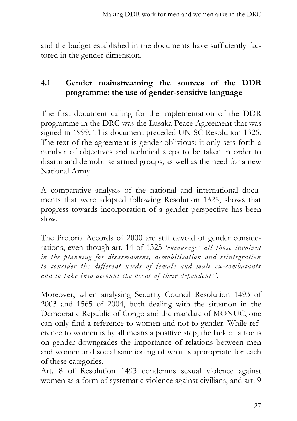and the budget established in the documents have sufficiently factored in the gender dimension.

#### **4.1 Gender mainstreaming the sources of the DDR programme: the use of gender-sensitive language**

The first document calling for the implementation of the DDR programme in the DRC was the Lusaka Peace Agreement that was signed in 1999. This document preceded UN SC Resolution 1325. The text of the agreement is gender-oblivious: it only sets forth a number of objectives and technical steps to be taken in order to disarm and demobilise armed groups, as well as the need for a new National Army.

A comparative analysis of the national and international documents that were adopted following Resolution 1325, shows that progress towards incorporation of a gender perspective has been slow.

The Pretoria Accords of 2000 are still devoid of gender considerations, even though art. 14 of 1325 *'encourages all those involved in the planning for disarmament, demobilisation and reintegration to consider the different needs of female and male ex-combatants and to take into account the needs of their dependents'.*

Moreover, when analysing Security Council Resolution 1493 of 2003 and 1565 of 2004, both dealing with the situation in the Democratic Republic of Congo and the mandate of MONUC, one can only find a reference to women and not to gender. While reference to women is by all means a positive step, the lack of a focus on gender downgrades the importance of relations between men and women and social sanctioning of what is appropriate for each of these categories.

Art. 8 of Resolution 1493 condemns sexual violence against women as a form of systematic violence against civilians, and art. 9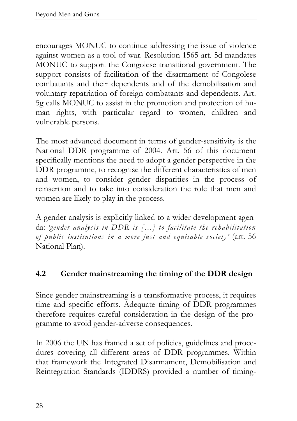encourages MONUC to continue addressing the issue of violence against women as a tool of war. Resolution 1565 art. 5d mandates MONUC to support the Congolese transitional government. The support consists of facilitation of the disarmament of Congolese combatants and their dependents and of the demobilisation and voluntary repatriation of foreign combatants and dependents. Art. 5g calls MONUC to assist in the promotion and protection of human rights, with particular regard to women, children and vulnerable persons.

The most advanced document in terms of gender-sensitivity is the National DDR programme of 2004. Art. 56 of this document specifically mentions the need to adopt a gender perspective in the DDR programme, to recognise the different characteristics of men and women, to consider gender disparities in the process of reinsertion and to take into consideration the role that men and women are likely to play in the process.

A gender analysis is explicitly linked to a wider development agenda: *'gender analysis in DDR is […] to facilitate the rehabilitation of public institutions in a more just and equitable society'* (art. 56 National Plan).

#### **4.2 Gender mainstreaming the timing of the DDR design**

Since gender mainstreaming is a transformative process, it requires time and specific efforts. Adequate timing of DDR programmes therefore requires careful consideration in the design of the programme to avoid gender-adverse consequences.

In 2006 the UN has framed a set of policies, guidelines and procedures covering all different areas of DDR programmes. Within that framework the Integrated Disarmament, Demobilisation and Reintegration Standards (IDDRS) provided a number of timing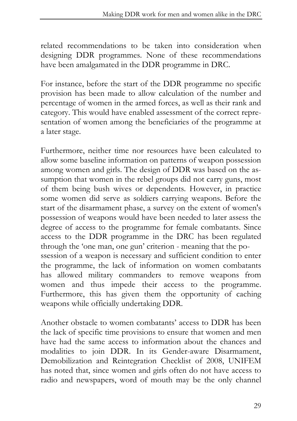related recommendations to be taken into consideration when designing DDR programmes. None of these recommendations have been amalgamated in the DDR programme in DRC.

For instance, before the start of the DDR programme no specific provision has been made to allow calculation of the number and percentage of women in the armed forces, as well as their rank and category. This would have enabled assessment of the correct representation of women among the beneficiaries of the programme at a later stage.

Furthermore, neither time nor resources have been calculated to allow some baseline information on patterns of weapon possession among women and girls. The design of DDR was based on the assumption that women in the rebel groups did not carry guns, most of them being bush wives or dependents. However, in practice some women did serve as soldiers carrying weapons. Before the start of the disarmament phase, a survey on the extent of women's possession of weapons would have been needed to later assess the degree of access to the programme for female combatants. Since access to the DDR programme in the DRC has been regulated through the 'one man, one gun' criterion - meaning that the possession of a weapon is necessary and sufficient condition to enter the programme, the lack of information on women combatants has allowed military commanders to remove weapons from women and thus impede their access to the programme. Furthermore, this has given them the opportunity of caching weapons while officially undertaking DDR.

Another obstacle to women combatants' access to DDR has been the lack of specific time provisions to ensure that women and men have had the same access to information about the chances and modalities to join DDR. In its Gender-aware Disarmament, Demobilization and Reintegration Checklist of 2008, UNIFEM has noted that, since women and girls often do not have access to radio and newspapers, word of mouth may be the only channel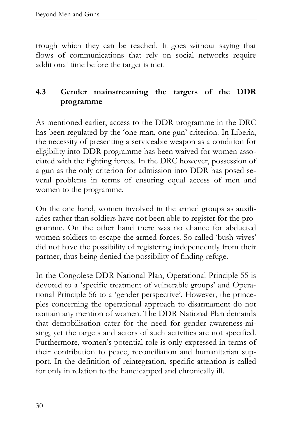trough which they can be reached. It goes without saying that flows of communications that rely on social networks require additional time before the target is met.

#### **4.3 Gender mainstreaming the targets of the DDR programme**

As mentioned earlier, access to the DDR programme in the DRC has been regulated by the 'one man, one gun' criterion. In Liberia, the necessity of presenting a serviceable weapon as a condition for eligibility into DDR programme has been waived for women associated with the fighting forces. In the DRC however, possession of a gun as the only criterion for admission into DDR has posed several problems in terms of ensuring equal access of men and women to the programme.

On the one hand, women involved in the armed groups as auxiliaries rather than soldiers have not been able to register for the programme. On the other hand there was no chance for abducted women soldiers to escape the armed forces. So called 'bush-wives' did not have the possibility of registering independently from their partner, thus being denied the possibility of finding refuge.

In the Congolese DDR National Plan, Operational Principle 55 is devoted to a 'specific treatment of vulnerable groups' and Operational Principle 56 to a 'gender perspective'. However, the princeples concerning the operational approach to disarmament do not contain any mention of women. The DDR National Plan demands that demobilisation cater for the need for gender awareness-raising, yet the targets and actors of such activities are not specified. Furthermore, women's potential role is only expressed in terms of their contribution to peace, reconciliation and humanitarian support. In the definition of reintegration, specific attention is called for only in relation to the handicapped and chronically ill.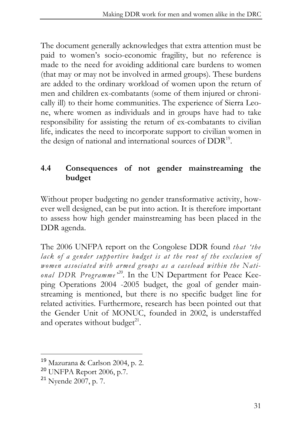The document generally acknowledges that extra attention must be paid to women's socio-economic fragility, but no reference is made to the need for avoiding additional care burdens to women (that may or may not be involved in armed groups). These burdens are added to the ordinary workload of women upon the return of men and children ex-combatants (some of them injured or chronically ill) to their home communities. The experience of Sierra Leone, where women as individuals and in groups have had to take responsibility for assisting the return of ex-combatants to civilian life, indicates the need to incorporate support to civilian women in the design of national and international sources of DDR<sup>19</sup>.

#### **4.4 Consequences of not gender mainstreaming the budget**

Without proper budgeting no gender transformative activity, however well designed, can be put into action. It is therefore important to assess how high gender mainstreaming has been placed in the DDR agenda.

The 2006 UNFPA report on the Congolese DDR found *that 'the*  lack of a gender supportive budget is at the root of the exclusion of *women associated with armed groups as a caseload within the National DDR Programme*<sup>20</sup>. In the UN Department for Peace Keeping Operations 2004 -2005 budget, the goal of gender mainstreaming is mentioned, but there is no specific budget line for related activities. Furthermore, research has been pointed out that the Gender Unit of MONUC, founded in 2002, is understaffed and operates without budget $^{21}$ .

<sup>19</sup> Mazurana & Carlson 2004, p. 2.

<sup>20</sup> UNFPA Report 2006, p.7.

<sup>21</sup> Nyende 2007, p. 7.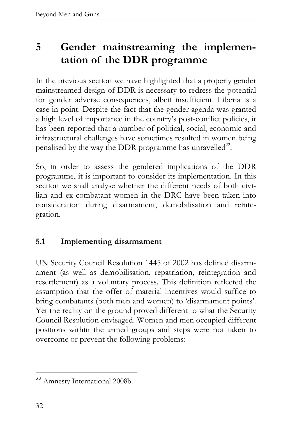# **5 Gender mainstreaming the implementation of the DDR programme**

In the previous section we have highlighted that a properly gender mainstreamed design of DDR is necessary to redress the potential for gender adverse consequences, albeit insufficient. Liberia is a case in point. Despite the fact that the gender agenda was granted a high level of importance in the country's post-conflict policies, it has been reported that a number of political, social, economic and infrastructural challenges have sometimes resulted in women being penalised by the way the DDR programme has unravelled<sup>22</sup>.

So, in order to assess the gendered implications of the DDR programme, it is important to consider its implementation. In this section we shall analyse whether the different needs of both civilian and ex-combatant women in the DRC have been taken into consideration during disarmament, demobilisation and reintegration.

#### **5.1 Implementing disarmament**

UN Security Council Resolution 1445 of 2002 has defined disarmament (as well as demobilisation, repatriation, reintegration and resettlement) as a voluntary process. This definition reflected the assumption that the offer of material incentives would suffice to bring combatants (both men and women) to 'disarmament points'. Yet the reality on the ground proved different to what the Security Council Resolution envisaged. Women and men occupied different positions within the armed groups and steps were not taken to overcome or prevent the following problems:

 $\overline{a}$ <sup>22</sup> Amnesty International 2008b.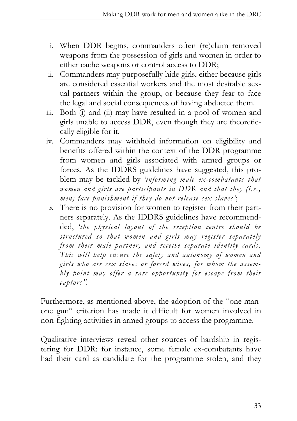- i. When DDR begins, commanders often (re)claim removed weapons from the possession of girls and women in order to either cache weapons or control access to DDR;
- ii. Commanders may purposefully hide girls, either because girls are considered essential workers and the most desirable sexual partners within the group, or because they fear to face the legal and social consequences of having abducted them.
- iii. Both (i) and (ii) may have resulted in a pool of women and girls unable to access DDR, even though they are theoreticcally eligible for it.
- iv. Commanders may withhold information on eligibility and benefits offered within the context of the DDR programme from women and girls associated with armed groups or forces. As the IDDRS guidelines have suggested, this problem may be tackled by *'informing male ex-combatants that women and girls are participants in DDR and that they (i.e., men) face punishment if they do not release sex slaves'*;
- *v.* There is no provision for women to register from their partners separately. As the IDDRS guidelines have recommendded, *'the physical layout of the reception centre should be structured so that women and girls may register separately from their male partner, and receive separate identity cards. This will help ensure the safety and autonomy of women and girls who are sex slaves or forced wives, for whom the assembly point may offer a rare opportunity for escape from their captors".*

Furthermore, as mentioned above, the adoption of the "one manone gun" criterion has made it difficult for women involved in non-fighting activities in armed groups to access the programme.

Qualitative interviews reveal other sources of hardship in registering for DDR: for instance, some female ex-combatants have had their card as candidate for the programme stolen, and they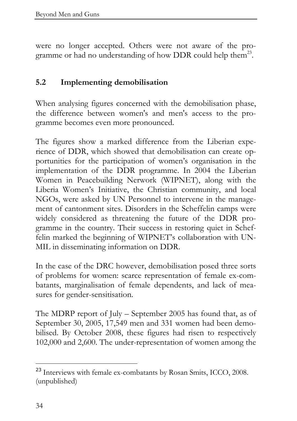were no longer accepted. Others were not aware of the programme or had no understanding of how DDR could help them<sup>23</sup>.

#### **5.2 Implementing demobilisation**

When analysing figures concerned with the demobilisation phase, the difference between women's and men's access to the programme becomes even more pronounced.

The figures show a marked difference from the Liberian experience of DDR, which showed that demobilisation can create opportunities for the participation of women's organisation in the implementation of the DDR programme. In 2004 the Liberian Women in Peacebuilding Nerwork (WIPNET), along with the Liberia Women's Initiative, the Christian community, and local NGOs, were asked by UN Personnel to intervene in the management of cantonment sites. Disorders in the Scheffelin camps were widely considered as threatening the future of the DDR programme in the country. Their success in restoring quiet in Scheffelin marked the beginning of WIPNET's collaboration with UN-MIL in disseminating information on DDR.

In the case of the DRC however, demobilisation posed three sorts of problems for women: scarce representation of female ex-combatants, marginalisation of female dependents, and lack of measures for gender-sensitisation.

The MDRP report of July – September 2005 has found that, as of September 30, 2005, 17,549 men and 331 women had been demobilised. By October 2008, these figures had risen to respectively 102,000 and 2,600. The under-representation of women among the

<sup>&</sup>lt;sup>23</sup> Interviews with female ex-combatants by Rosan Smits, ICCO, 2008. (unpublished)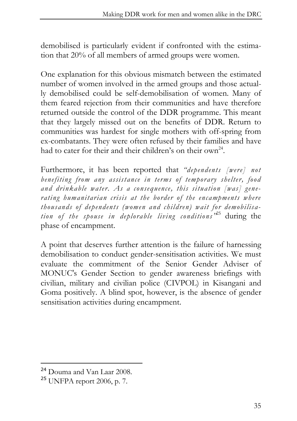demobilised is particularly evident if confronted with the estimation that 20% of all members of armed groups were women.

One explanation for this obvious mismatch between the estimated number of women involved in the armed groups and those actually demobilised could be self-demobilisation of women. Many of them feared rejection from their communities and have therefore returned outside the control of the DDR programme. This meant that they largely missed out on the benefits of DDR. Return to communities was hardest for single mothers with off-spring from ex-combatants. They were often refused by their families and have had to cater for their and their children's on their own<sup>24</sup>.

Furthermore, it has been reported that *"dependents [were] not benefiting from any assistance in terms of temporary shelter, food and drinkable water. As a consequence, this situation [was] generating humanitarian crisis at the border of the encampments where thousands of dependents (women and children) wait for demobilisation of the spouse in deplorable living conditions"* <sup>25</sup> during the phase of encampment.

A point that deserves further attention is the failure of harnessing demobilisation to conduct gender-sensitisation activities. We must evaluate the commitment of the Senior Gender Adviser of MONUC's Gender Section to gender awareness briefings with civilian, military and civilian police (CIVPOL) in Kisangani and Goma positively. A blind spot, however, is the absence of gender sensitisation activities during encampment.

<sup>24</sup> Douma and Van Laar 2008.

<sup>25</sup> UNFPA report 2006, p. 7.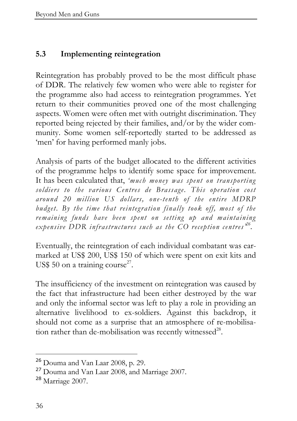#### **5.3 Implementing reintegration**

Reintegration has probably proved to be the most difficult phase of DDR. The relatively few women who were able to register for the programme also had access to reintegration programmes. Yet return to their communities proved one of the most challenging aspects. Women were often met with outright discrimination. They reported being rejected by their families, and/or by the wider community. Some women self-reportedly started to be addressed as 'men' for having performed manly jobs.

Analysis of parts of the budget allocated to the different activities of the programme helps to identify some space for improvement. It has been calculated that, *'much money was spent on transporting soldiers to the various Centres de Brassage. This operation cost around 20 million US dollars, one-tenth of the entire MDRP budget. By the time that reintegration finally took off, most of the remaining funds have been spent on setting up and maintaining expensive DDR infrastructures such as the CO reception centres' 26 .* 

Eventually, the reintegration of each individual combatant was earmarked at US\$ 200, US\$ 150 of which were spent on exit kits and US\$ 50 on a training course<sup>27</sup>.

The insufficiency of the investment on reintegration was caused by the fact that infrastructure had been either destroyed by the war and only the informal sector was left to play a role in providing an alternative livelihood to ex-soldiers. Against this backdrop, it should not come as a surprise that an atmosphere of re-mobilisation rather than de-mobilisation was recently witnessed<sup>28</sup>.

 $26$  Douma and Van Laar 2008, p. 29.

<sup>&</sup>lt;sup>27</sup> Douma and Van Laar 2008, and Marriage 2007.

<sup>28</sup> Marriage 2007.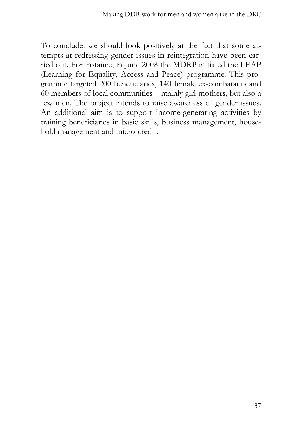To conclude: we should look positively at the fact that some attempts at redressing gender issues in reintegration have been carried out. For instance, in June 2008 the MDRP initiated the LEAP (Learning for Equality, Access and Peace) programme. This programme targeted 200 beneficiaries, 140 female ex-combatants and 60 members of local communities – mainly girl-mothers, but also a few men. The project intends to raise awareness of gender issues. An additional aim is to support income-generating activities by training beneficiaries in basic skills, business management, household management and micro-credit.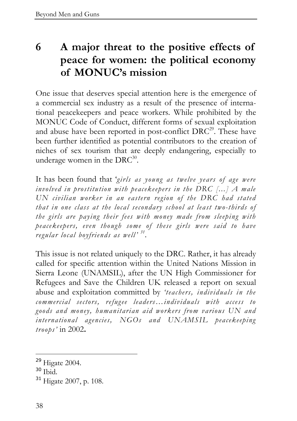# **6 A major threat to the positive effects of peace for women: the political economy of MONUC's mission**

One issue that deserves special attention here is the emergence of a commercial sex industry as a result of the presence of international peacekeepers and peace workers. While prohibited by the MONUC Code of Conduct, different forms of sexual exploitation and abuse have been reported in post-conflict  $DRC^{29}$ . These have been further identified as potential contributors to the creation of niches of sex tourism that are deeply endangering, especially to underage women in the  $DRC^{30}$ .

It has been found that '*girls as young as twelve years of age were involved in prostitution with peacekeepers in the DRC [...] A male UN civilian worker in an eastern region of the DRC had stated that in one class at the local secondary school at least two-thirds of the girls are paying their fees with money made from sleeping with peacekeepers, even though some of these girls were said to have regular local boyfriends as well' <sup>31</sup>* .

This issue is not related uniquely to the DRC. Rather, it has already called for specific attention within the United Nations Mission in Sierra Leone (UNAMSIL), after the UN High Commissioner for Refugees and Save the Children UK released a report on sexual abuse and exploitation committed by *'teachers, individuals in the commercial sectors, refugee leaders…individuals with access to goods and money, humanitarian aid workers from various UN and international agencies, NGOs and UNAMSIL peacekeeping troops'* in 2002**.** 

<sup>29</sup> Higate 2004.

<sup>30</sup> Ibid.

<sup>31</sup> Higate 2007, p. 108.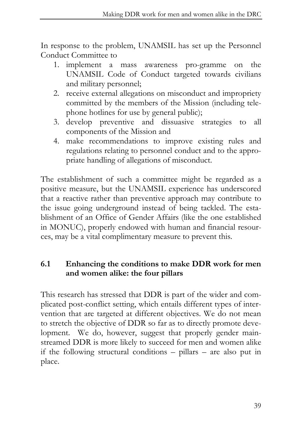In response to the problem, UNAMSIL has set up the Personnel Conduct Committee to

- 1. implement a mass awareness pro-gramme on the UNAMSIL Code of Conduct targeted towards civilians and military personnel;
- 2. receive external allegations on misconduct and impropriety committed by the members of the Mission (including telephone hotlines for use by general public);
- 3. develop preventive and dissuasive strategies to all components of the Mission and
- 4. make recommendations to improve existing rules and regulations relating to personnel conduct and to the appropriate handling of allegations of misconduct.

The establishment of such a committee might be regarded as a positive measure, but the UNAMSIL experience has underscored that a reactive rather than preventive approach may contribute to the issue going underground instead of being tackled. The establishment of an Office of Gender Affairs (like the one established in MONUC), properly endowed with human and financial resources, may be a vital complimentary measure to prevent this.

#### **6.1 Enhancing the conditions to make DDR work for men and women alike: the four pillars**

This research has stressed that DDR is part of the wider and complicated post-conflict setting, which entails different types of intervention that are targeted at different objectives. We do not mean to stretch the objective of DDR so far as to directly promote development. We do, however, suggest that properly gender mainstreamed DDR is more likely to succeed for men and women alike if the following structural conditions – pillars – are also put in place.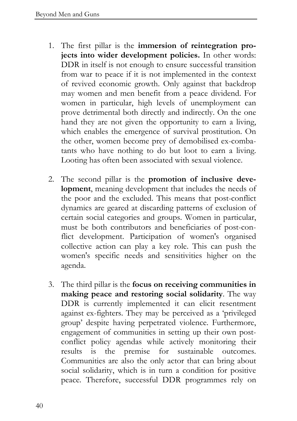- 1. The first pillar is the **immersion of reintegration projects into wider development policies.** In other words: DDR in itself is not enough to ensure successful transition from war to peace if it is not implemented in the context of revived economic growth. Only against that backdrop may women and men benefit from a peace dividend. For women in particular, high levels of unemployment can prove detrimental both directly and indirectly. On the one hand they are not given the opportunity to earn a living, which enables the emergence of survival prostitution. On the other, women become prey of demobilised ex-combatants who have nothing to do but loot to earn a living. Looting has often been associated with sexual violence.
- 2. The second pillar is the **promotion of inclusive development**, meaning development that includes the needs of the poor and the excluded. This means that post-conflict dynamics are geared at discarding patterns of exclusion of certain social categories and groups. Women in particular, must be both contributors and beneficiaries of post-conflict development. Participation of women's organised collective action can play a key role. This can push the women's specific needs and sensitivities higher on the agenda.
- 3. The third pillar is the **focus on receiving communities in making peace and restoring social solidarity**. The way DDR is currently implemented it can elicit resentment against ex-fighters. They may be perceived as a 'privileged group' despite having perpetrated violence. Furthermore, engagement of communities in setting up their own postconflict policy agendas while actively monitoring their results is the premise for sustainable outcomes. Communities are also the only actor that can bring about social solidarity, which is in turn a condition for positive peace. Therefore, successful DDR programmes rely on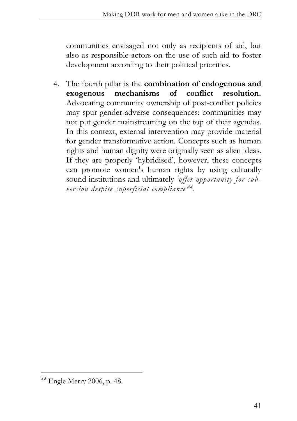communities envisaged not only as recipients of aid, but also as responsible actors on the use of such aid to foster development according to their political priorities.

4. The fourth pillar is the **combination of endogenous and exogenous mechanisms of conflict resolution.** Advocating community ownership of post-conflict policies may spur gender-adverse consequences: communities may not put gender mainstreaming on the top of their agendas. In this context, external intervention may provide material for gender transformative action. Concepts such as human rights and human dignity were originally seen as alien ideas. If they are properly 'hybridised', however, these concepts can promote women's human rights by using culturally sound institutions and ultimately *'offer opportunity for subversion despite superficial compliance' 32 .* 

<sup>32</sup> Engle Merry 2006, p. 48.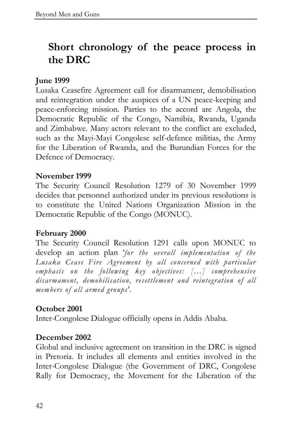# **Short chronology of the peace process in the DRC**

#### **June 1999**

Lusaka Ceasefire Agreement call for disarmament, demobilisation and reintegration under the auspices of a UN peace-keeping and peace-enforcing mission. Parties to the accord are Angola, the Democratic Republic of the Congo, Namibia, Rwanda, Uganda and Zimbabwe. Many actors relevant to the conflict are excluded, such as the Mayi-Mayi Congolese self-defence militias, the Army for the Liberation of Rwanda, and the Burundian Forces for the Defence of Democracy.

#### **November 1999**

The Security Council Resolution 1279 of 30 November 1999 decides that personnel authorized under its previous resolutions is to constitute the United Nations Organization Mission in the Democratic Republic of the Congo (MONUC).

#### **February 2000**

The Security Council Resolution 1291 calls upon MONUC to develop an action plan '*for the overall implementation of the Lusaka Cease Fire Agreement by all concerned with particular emphasis on the following key objectives: […] comprehensive disarmament, demobilisation, resettlement and reintegration of all members of all armed groups*'.

#### **October 2001**

Inter-Congolese Dialogue officially opens in Addis Ababa.

#### **December 2002**

Global and inclusive agreement on transition in the DRC is signed in Pretoria. It includes all elements and entities involved in the Inter-Congolese Dialogue (the Government of DRC, Congolese Rally for Democracy, the Movement for the Liberation of the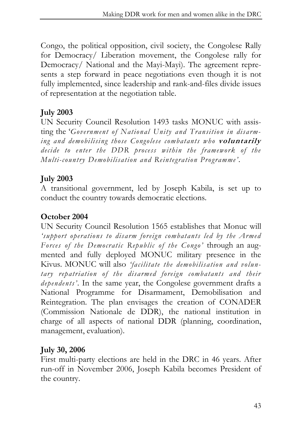Congo, the political opposition, civil society, the Congolese Rally for Democracy/ Liberation movement, the Congolese rally for Democracy/ National and the Mayi-Mayi). The agreement represents a step forward in peace negotiations even though it is not fully implemented, since leadership and rank-and-files divide issues of representation at the negotiation table.

#### **July 2003**

UN Security Council Resolution 1493 tasks MONUC with assisting the '*Government of National Unity and Transition in disarming and demobilising those Congolese combatants who* **voluntarily** *decide to enter the DDR process within the framework of the Multi-country Demobilisation and Reintegration Programme'*.

#### **July 2003**

A transitional government, led by Joseph Kabila, is set up to conduct the country towards democratic elections.

#### **October 2004**

UN Security Council Resolution 1565 establishes that Monuc will *'support operations to disarm foreign combatants led by the Armed Forces of the Democratic Republic of the Congo'* through an augmented and fully deployed MONUC military presence in the Kivus. MONUC will also *'facilitate the demobilisation and voluntary repatriation of the disarmed foreign combatants and their dependents'*. In the same year, the Congolese government drafts a National Programme for Disarmament, Demobilisation and Reintegration. The plan envisages the creation of CONADER (Commission Nationale de DDR), the national institution in charge of all aspects of national DDR (planning, coordination, management, evaluation).

#### **July 30, 2006**

First multi-party elections are held in the DRC in 46 years. After run-off in November 2006, Joseph Kabila becomes President of the country.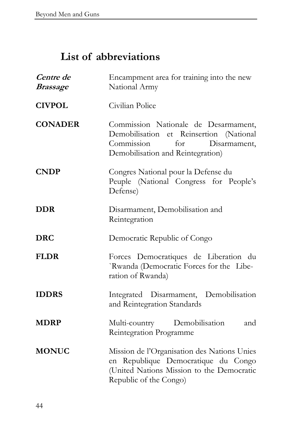## **List of abbreviations**

| Centre de<br><i><b>Brassage</b></i> | Encampment area for training into the new<br>National Army                                                                                                |
|-------------------------------------|-----------------------------------------------------------------------------------------------------------------------------------------------------------|
| <b>CIVPOL</b>                       | Civilian Police                                                                                                                                           |
| <b>CONADER</b>                      | Commission Nationale de Desarmament,<br>Demobilisation et Reinsertion (National<br>Commission<br>for<br>Disarmament,<br>Demobilisation and Reintegration) |
| <b>CNDP</b>                         | Congres National pour la Defense du<br>Peuple (National Congress for People's<br>Defense)                                                                 |
| <b>DDR</b>                          | Disarmament, Demobilisation and<br>Reintegration                                                                                                          |
| <b>DRC</b>                          | Democratic Republic of Congo                                                                                                                              |
| <b>FLDR</b>                         | Forces Democratiques de Liberation du<br>`Rwanda (Democratic Forces for the Libe-<br>ration of Rwanda)                                                    |
| <b>IDDRS</b>                        | Integrated Disarmament, Demobilisation<br>and Reintegration Standards                                                                                     |
| <b>MDRP</b>                         | Demobilisation<br>Multi-country<br>and<br>Reintegration Programme                                                                                         |
| <b>MONUC</b>                        | Mission de l'Organisation des Nations Unies<br>en Republique Democratique du Congo<br>(United Nations Mission to the Democratic<br>Republic of the Congo) |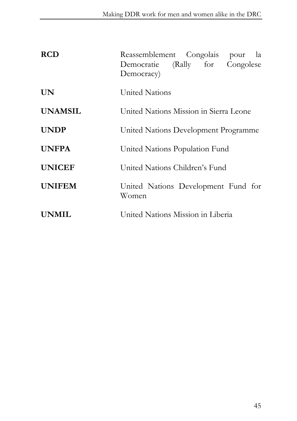| <b>RCD</b>     | Reassemblement Congolais<br>pour la<br>Democratie (Rally for Congolese<br>Democracy) |
|----------------|--------------------------------------------------------------------------------------|
| <b>UN</b>      | United Nations                                                                       |
| <b>UNAMSIL</b> | United Nations Mission in Sierra Leone                                               |
| <b>UNDP</b>    | United Nations Development Programme                                                 |
| <b>UNFPA</b>   | United Nations Population Fund                                                       |
| <b>UNICEF</b>  | United Nations Children's Fund                                                       |
| <b>UNIFEM</b>  | United Nations Development Fund for<br>Women                                         |
| <b>UNMIL</b>   | United Nations Mission in Liberia                                                    |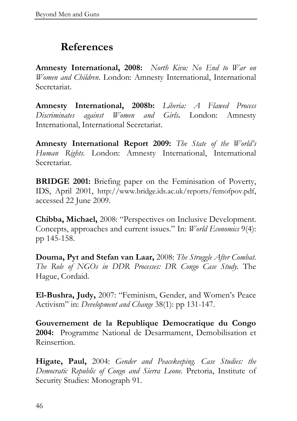## **References**

**Amnesty International, 2008:** *North Kivu: No End to War on Women and Children*. London: Amnesty International, International Secretariat.

**Amnesty International, 2008b:** *Liberia: A Flawed Process Discriminates against Women and Girls***.** London: Amnesty International, International Secretariat.

**Amnesty International Report 2009:** *The State of the World's Human Rights.* London: Amnesty International, International Secretariat.

**BRIDGE 2001:** Briefing paper on the Feminisation of Poverty, IDS, April 2001, http://www.bridge.ids.ac.uk/reports/femofpov.pdf, accessed 22 June 2009.

**Chibba, Michael,** 2008: "Perspectives on Inclusive Development. Concepts, approaches and current issues." In: *World Economics* 9(4): pp 145-158.

**Douma, Pyt and Stefan van Laar,** 2008: *The Struggle After Combat. The Role of NGOs in DDR Processes: DR Congo Case Study.* The Hague, Cordaid.

**El-Bushra, Judy,** 2007: "Feminism, Gender, and Women's Peace Activism" in: *Development and Change* 38(1): pp 131-147.

**Gouvernement de la Republique Democratique du Congo 2004:** Programme National de Desarmament, Demobilisation et Reinsertion.

**Higate, Paul,** 2004: *Gender and Peacekeeping. Case Studies: the Democratic Republic of Congo and Sierra Leone.* Pretoria, Institute of Security Studies: Monograph 91.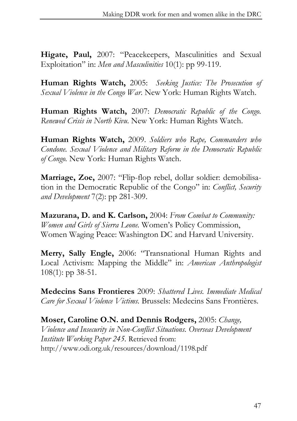**Higate, Paul,** 2007: "Peacekeepers, Masculinities and Sexual Exploitation" in: *Men and Masculinities* 10(1): pp 99-119.

**Human Rights Watch,** 2005: *Seeking Justice: The Prosecution of Sexual Violence in the Congo War*. New York: Human Rights Watch.

**Human Rights Watch,** 2007: *Democratic Republic of the Congo. Renewed Crisis in North Kivu*. New York: Human Rights Watch.

**Human Rights Watch,** 2009. *Soldiers who Rape, Commanders who Condone. Sexual Violence and Military Reform in the Democratic Republic of Congo.* New York: Human Rights Watch.

**Marriage, Zoe,** 2007: "Flip-flop rebel, dollar soldier: demobilisation in the Democratic Republic of the Congo" in: *Conflict, Security and Development* 7(2): pp 281-309.

 **Mazurana, D. and K. Carlson,** 2004: *From Combat to Community: Women and Girls of Sierra Leone.* Women's Policy Commission, Women Waging Peace: Washington DC and Harvard University.

**Merry, Sally Engle,** 2006: "Transnational Human Rights and Local Activism: Mapping the Middle" in: *American Anthropologist*  108(1): pp 38-51.

**Medecins Sans Frontieres** 2009: *Shattered Lives. Immediate Medical Care for Sexual Violence Victims.* Brussels: Medecins Sans Frontières.

**Moser, Caroline O.N. and Dennis Rodgers,** 2005: *Change, Violence and Insecurity in Non-Conflict Situations. Overseas Development Institute Working Paper 245.* Retrieved from: http://www.odi.org.uk/resources/download/1198.pdf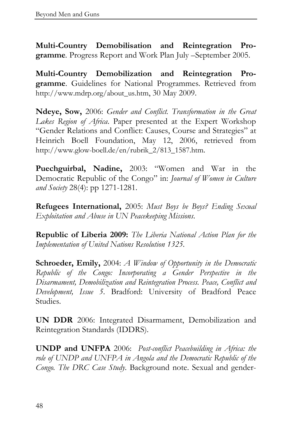**Multi-Country Demobilisation and Reintegration Programme***.* Progress Report and Work Plan July –September 2005.

**Multi-Country Demobilization and Reintegration Programme**. Guidelines for National Programmes. Retrieved from http://www.mdrp.org/about\_us.htm, 30 May 2009.

**Ndeye, Sow,** 2006: *Gender and Conflict. Transformation in the Great Lakes Region of Africa*. Paper presented at the Expert Workshop "Gender Relations and Conflict: Causes, Course and Strategies" at Heinrich Boell Foundation, May 12, 2006, retrieved from http://www.glow-boell.de/en/rubrik\_2/813\_1587.htm.

**Puechguirbal, Nadine,** 2003: "Women and War in the Democratic Republic of the Congo" in: *Journal of Women in Culture and Society* 28(4): pp 1271-1281.

**Refugees International,** 2005: *Must Boys be Boys? Ending Sexual Exploitation and Abuse in UN Peacekeeping Missions*.

**Republic of Liberia 2009:** *The Liberia National Action Plan for the Implementation of United Nations Resolution 1325.* 

**Schroeder, Emily,** 2004: *A Window of Opportunity in the Democratic Republic of the Congo: Incorporating a Gender Perspective in the Disarmament, Demobilization and Reintegration Process. Peace, Conflict and Development, Issue 5*. Bradford: University of Bradford Peace Studies.

**UN DDR** 2006: Integrated Disarmament, Demobilization and Reintegration Standards (IDDRS).

**UNDP and UNFPA** 2006: *Post-conflict Peacebuilding in Africa: the role of UNDP and UNFPA in Angola and the Democratic Republic of the Congo. The DRC Case Study*. Background note. Sexual and gender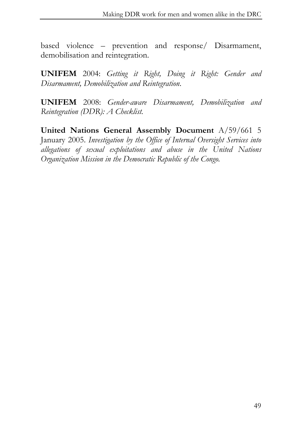based violence – prevention and response/ Disarmament, demobilisation and reintegration.

**UNIFEM** 2004: *Getting it Right, Doing it Right: Gender and Disarmament, Demobilization and Reintegration*.

**UNIFEM** 2008: *Gender-aware Disarmament, Demobilization and Reintegration (DDR): A Checklist.* 

**United Nations General Assembly Document** A/59/661 5 January 2005. *Investigation by the Office of Internal Oversight Services into allegations of sexual exploitations and abuse in the United Nations Organization Mission in the Democratic Republic of the Congo.*